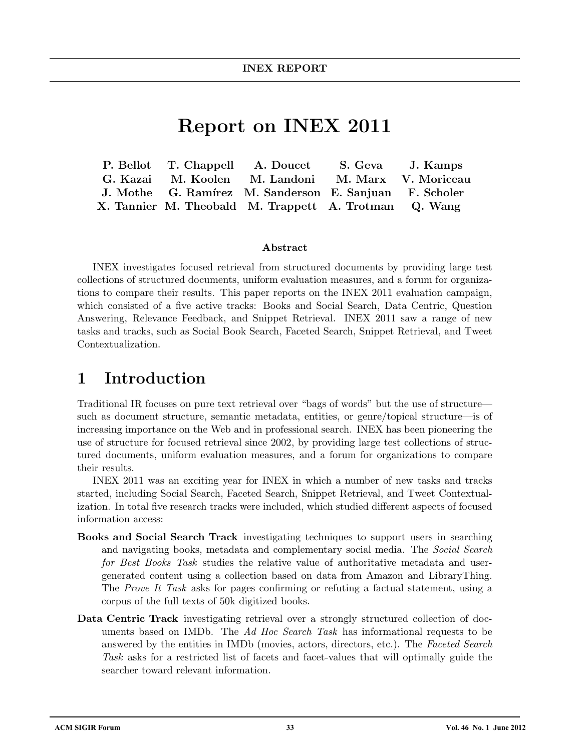# Report on INEX 2011

|  | P. Bellot T. Chappell A. Doucet                        | S. Geva J. Kamps    |
|--|--------------------------------------------------------|---------------------|
|  | G. Kazai M. Koolen M. Landoni                          | M. Marx V. Moriceau |
|  | J. Mothe G. Ramírez M. Sanderson E. Sanjuan F. Scholer |                     |
|  | X. Tannier M. Theobald M. Trappett A. Trotman Q. Wang  |                     |

#### Abstract

INEX investigates focused retrieval from structured documents by providing large test collections of structured documents, uniform evaluation measures, and a forum for organizations to compare their results. This paper reports on the INEX 2011 evaluation campaign, which consisted of a five active tracks: Books and Social Search, Data Centric, Question Answering, Relevance Feedback, and Snippet Retrieval. INEX 2011 saw a range of new tasks and tracks, such as Social Book Search, Faceted Search, Snippet Retrieval, and Tweet Contextualization.

### 1 Introduction

Traditional IR focuses on pure text retrieval over "bags of words" but the use of structure such as document structure, semantic metadata, entities, or genre/topical structure—is of increasing importance on the Web and in professional search. INEX has been pioneering the use of structure for focused retrieval since 2002, by providing large test collections of structured documents, uniform evaluation measures, and a forum for organizations to compare their results.

INEX 2011 was an exciting year for INEX in which a number of new tasks and tracks started, including Social Search, Faceted Search, Snippet Retrieval, and Tweet Contextualization. In total five research tracks were included, which studied different aspects of focused information access:

- Books and Social Search Track investigating techniques to support users in searching and navigating books, metadata and complementary social media. The Social Search for Best Books Task studies the relative value of authoritative metadata and usergenerated content using a collection based on data from Amazon and LibraryThing. The Prove It Task asks for pages confirming or refuting a factual statement, using a corpus of the full texts of 50k digitized books.
- Data Centric Track investigating retrieval over a strongly structured collection of documents based on IMDb. The Ad Hoc Search Task has informational requests to be answered by the entities in IMDb (movies, actors, directors, etc.). The Faceted Search Task asks for a restricted list of facets and facet-values that will optimally guide the searcher toward relevant information.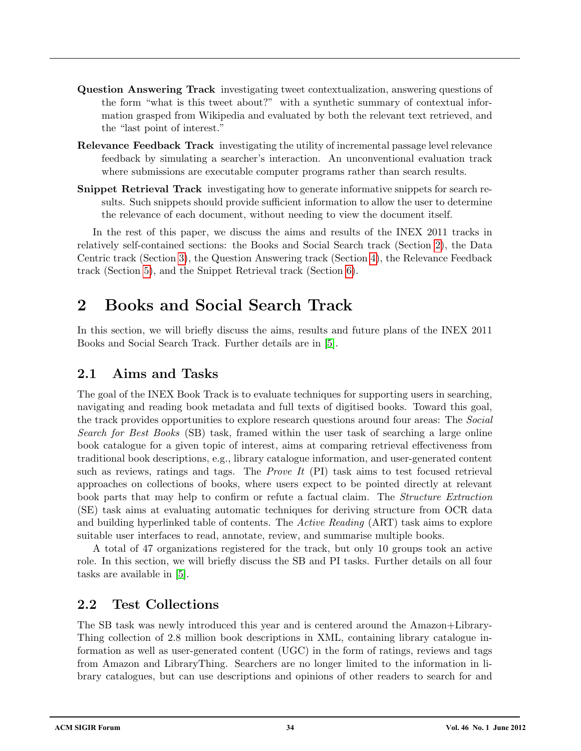- Question Answering Track investigating tweet contextualization, answering questions of the form "what is this tweet about?" with a synthetic summary of contextual information grasped from Wikipedia and evaluated by both the relevant text retrieved, and the "last point of interest."
- Relevance Feedback Track investigating the utility of incremental passage level relevance feedback by simulating a searcher's interaction. An unconventional evaluation track where submissions are executable computer programs rather than search results.
- **Snippet Retrieval Track** investigating how to generate informative snippets for search results. Such snippets should provide sufficient information to allow the user to determine the relevance of each document, without needing to view the document itself.

In the rest of this paper, we discuss the aims and results of the INEX 2011 tracks in relatively self-contained sections: the Books and Social Search track (Section [2\)](#page-1-0), the Data Centric track (Section [3\)](#page-3-0), the Question Answering track (Section [4\)](#page-4-0), the Relevance Feedback track (Section [5\)](#page-5-0), and the Snippet Retrieval track (Section [6\)](#page-7-0).

## <span id="page-1-0"></span>2 Books and Social Search Track

In this section, we will briefly discuss the aims, results and future plans of the INEX 2011 Books and Social Search Track. Further details are in [\[5\]](#page-9-0).

#### 2.1 Aims and Tasks

The goal of the INEX Book Track is to evaluate techniques for supporting users in searching, navigating and reading book metadata and full texts of digitised books. Toward this goal, the track provides opportunities to explore research questions around four areas: The Social Search for Best Books (SB) task, framed within the user task of searching a large online book catalogue for a given topic of interest, aims at comparing retrieval effectiveness from traditional book descriptions, e.g., library catalogue information, and user-generated content such as reviews, ratings and tags. The *Prove It* (PI) task aims to test focused retrieval approaches on collections of books, where users expect to be pointed directly at relevant book parts that may help to confirm or refute a factual claim. The *Structure Extraction* (SE) task aims at evaluating automatic techniques for deriving structure from OCR data and building hyperlinked table of contents. The Active Reading (ART) task aims to explore suitable user interfaces to read, annotate, review, and summarise multiple books.

A total of 47 organizations registered for the track, but only 10 groups took an active role. In this section, we will briefly discuss the SB and PI tasks. Further details on all four tasks are available in [\[5\]](#page-9-0).

#### 2.2 Test Collections

The SB task was newly introduced this year and is centered around the Amazon+Library-Thing collection of 2.8 million book descriptions in XML, containing library catalogue information as well as user-generated content (UGC) in the form of ratings, reviews and tags from Amazon and LibraryThing. Searchers are no longer limited to the information in library catalogues, but can use descriptions and opinions of other readers to search for and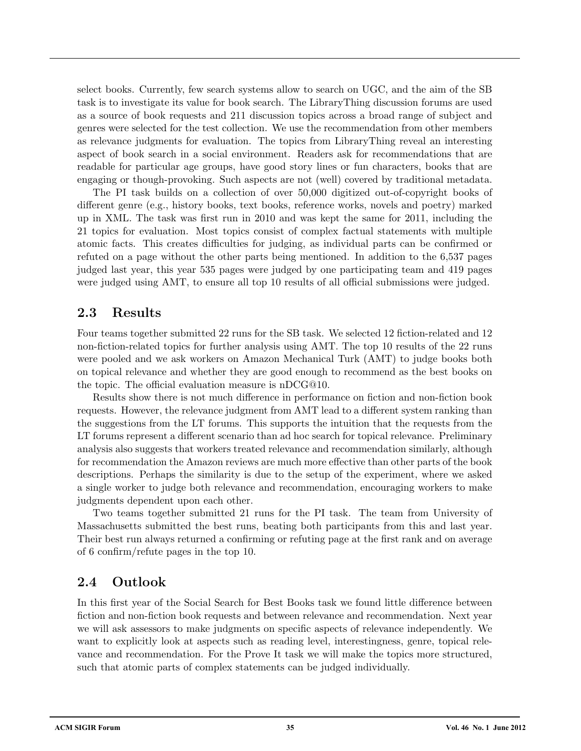select books. Currently, few search systems allow to search on UGC, and the aim of the SB task is to investigate its value for book search. The LibraryThing discussion forums are used as a source of book requests and 211 discussion topics across a broad range of subject and genres were selected for the test collection. We use the recommendation from other members as relevance judgments for evaluation. The topics from LibraryThing reveal an interesting aspect of book search in a social environment. Readers ask for recommendations that are readable for particular age groups, have good story lines or fun characters, books that are engaging or though-provoking. Such aspects are not (well) covered by traditional metadata.

The PI task builds on a collection of over 50,000 digitized out-of-copyright books of different genre (e.g., history books, text books, reference works, novels and poetry) marked up in XML. The task was first run in 2010 and was kept the same for 2011, including the 21 topics for evaluation. Most topics consist of complex factual statements with multiple atomic facts. This creates difficulties for judging, as individual parts can be confirmed or refuted on a page without the other parts being mentioned. In addition to the 6,537 pages judged last year, this year 535 pages were judged by one participating team and 419 pages were judged using AMT, to ensure all top 10 results of all official submissions were judged.

#### 2.3 Results

Four teams together submitted 22 runs for the SB task. We selected 12 fiction-related and 12 non-fiction-related topics for further analysis using AMT. The top 10 results of the 22 runs were pooled and we ask workers on Amazon Mechanical Turk (AMT) to judge books both on topical relevance and whether they are good enough to recommend as the best books on the topic. The official evaluation measure is nDCG@10.

Results show there is not much difference in performance on fiction and non-fiction book requests. However, the relevance judgment from AMT lead to a different system ranking than the suggestions from the LT forums. This supports the intuition that the requests from the LT forums represent a different scenario than ad hoc search for topical relevance. Preliminary analysis also suggests that workers treated relevance and recommendation similarly, although for recommendation the Amazon reviews are much more effective than other parts of the book descriptions. Perhaps the similarity is due to the setup of the experiment, where we asked a single worker to judge both relevance and recommendation, encouraging workers to make judgments dependent upon each other.

Two teams together submitted 21 runs for the PI task. The team from University of Massachusetts submitted the best runs, beating both participants from this and last year. Their best run always returned a confirming or refuting page at the first rank and on average of 6 confirm/refute pages in the top 10.

#### 2.4 Outlook

In this first year of the Social Search for Best Books task we found little difference between fiction and non-fiction book requests and between relevance and recommendation. Next year we will ask assessors to make judgments on specific aspects of relevance independently. We want to explicitly look at aspects such as reading level, interestingness, genre, topical relevance and recommendation. For the Prove It task we will make the topics more structured, such that atomic parts of complex statements can be judged individually.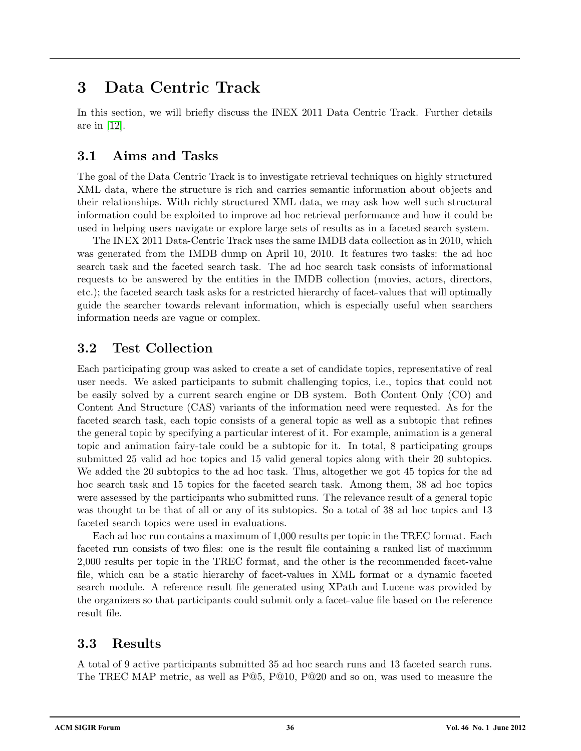## <span id="page-3-0"></span>3 Data Centric Track

In this section, we will briefly discuss the INEX 2011 Data Centric Track. Further details are in [\[12\]](#page-9-1).

### 3.1 Aims and Tasks

The goal of the Data Centric Track is to investigate retrieval techniques on highly structured XML data, where the structure is rich and carries semantic information about objects and their relationships. With richly structured XML data, we may ask how well such structural information could be exploited to improve ad hoc retrieval performance and how it could be used in helping users navigate or explore large sets of results as in a faceted search system.

The INEX 2011 Data-Centric Track uses the same IMDB data collection as in 2010, which was generated from the IMDB dump on April 10, 2010. It features two tasks: the ad hoc search task and the faceted search task. The ad hoc search task consists of informational requests to be answered by the entities in the IMDB collection (movies, actors, directors, etc.); the faceted search task asks for a restricted hierarchy of facet-values that will optimally guide the searcher towards relevant information, which is especially useful when searchers information needs are vague or complex.

### 3.2 Test Collection

Each participating group was asked to create a set of candidate topics, representative of real user needs. We asked participants to submit challenging topics, i.e., topics that could not be easily solved by a current search engine or DB system. Both Content Only (CO) and Content And Structure (CAS) variants of the information need were requested. As for the faceted search task, each topic consists of a general topic as well as a subtopic that refines the general topic by specifying a particular interest of it. For example, animation is a general topic and animation fairy-tale could be a subtopic for it. In total, 8 participating groups submitted 25 valid ad hoc topics and 15 valid general topics along with their 20 subtopics. We added the 20 subtopics to the ad hoc task. Thus, altogether we got 45 topics for the ad hoc search task and 15 topics for the faceted search task. Among them, 38 ad hoc topics were assessed by the participants who submitted runs. The relevance result of a general topic was thought to be that of all or any of its subtopics. So a total of 38 ad hoc topics and 13 faceted search topics were used in evaluations.

Each ad hoc run contains a maximum of 1,000 results per topic in the TREC format. Each faceted run consists of two files: one is the result file containing a ranked list of maximum 2,000 results per topic in the TREC format, and the other is the recommended facet-value file, which can be a static hierarchy of facet-values in XML format or a dynamic faceted search module. A reference result file generated using XPath and Lucene was provided by the organizers so that participants could submit only a facet-value file based on the reference result file.

### 3.3 Results

A total of 9 active participants submitted 35 ad hoc search runs and 13 faceted search runs. The TREC MAP metric, as well as P@5, P@10, P@20 and so on, was used to measure the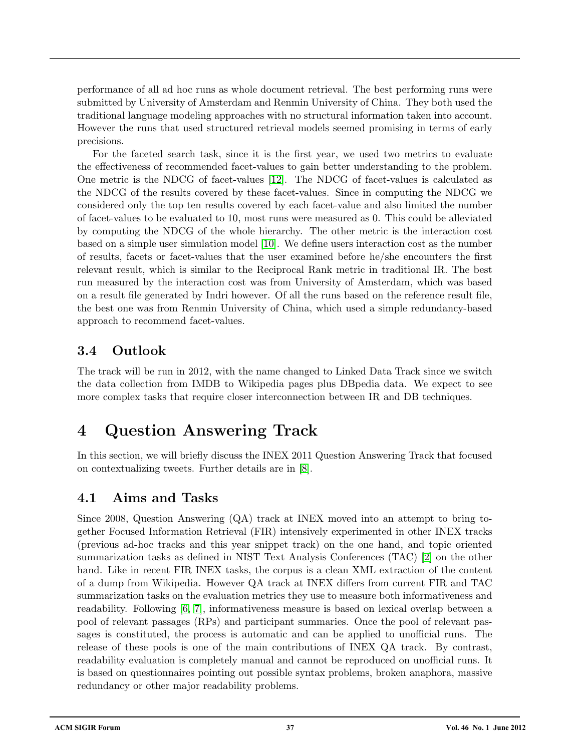performance of all ad hoc runs as whole document retrieval. The best performing runs were submitted by University of Amsterdam and Renmin University of China. They both used the traditional language modeling approaches with no structural information taken into account. However the runs that used structured retrieval models seemed promising in terms of early precisions.

For the faceted search task, since it is the first year, we used two metrics to evaluate the effectiveness of recommended facet-values to gain better understanding to the problem. One metric is the NDCG of facet-values [\[12\]](#page-9-1). The NDCG of facet-values is calculated as the NDCG of the results covered by these facet-values. Since in computing the NDCG we considered only the top ten results covered by each facet-value and also limited the number of facet-values to be evaluated to 10, most runs were measured as 0. This could be alleviated by computing the NDCG of the whole hierarchy. The other metric is the interaction cost based on a simple user simulation model [\[10\]](#page-9-2). We define users interaction cost as the number of results, facets or facet-values that the user examined before he/she encounters the first relevant result, which is similar to the Reciprocal Rank metric in traditional IR. The best run measured by the interaction cost was from University of Amsterdam, which was based on a result file generated by Indri however. Of all the runs based on the reference result file, the best one was from Renmin University of China, which used a simple redundancy-based approach to recommend facet-values.

### 3.4 Outlook

The track will be run in 2012, with the name changed to Linked Data Track since we switch the data collection from IMDB to Wikipedia pages plus DBpedia data. We expect to see more complex tasks that require closer interconnection between IR and DB techniques.

# <span id="page-4-0"></span>4 Question Answering Track

In this section, we will briefly discuss the INEX 2011 Question Answering Track that focused on contextualizing tweets. Further details are in [\[8\]](#page-9-3).

### 4.1 Aims and Tasks

Since 2008, Question Answering (QA) track at INEX moved into an attempt to bring together Focused Information Retrieval (FIR) intensively experimented in other INEX tracks (previous ad-hoc tracks and this year snippet track) on the one hand, and topic oriented summarization tasks as defined in NIST Text Analysis Conferences (TAC) [\[2\]](#page-8-0) on the other hand. Like in recent FIR INEX tasks, the corpus is a clean XML extraction of the content of a dump from Wikipedia. However QA track at INEX differs from current FIR and TAC summarization tasks on the evaluation metrics they use to measure both informativeness and readability. Following [\[6,](#page-9-4) [7\]](#page-9-5), informativeness measure is based on lexical overlap between a pool of relevant passages (RPs) and participant summaries. Once the pool of relevant passages is constituted, the process is automatic and can be applied to unofficial runs. The release of these pools is one of the main contributions of INEX QA track. By contrast, readability evaluation is completely manual and cannot be reproduced on unofficial runs. It is based on questionnaires pointing out possible syntax problems, broken anaphora, massive redundancy or other major readability problems.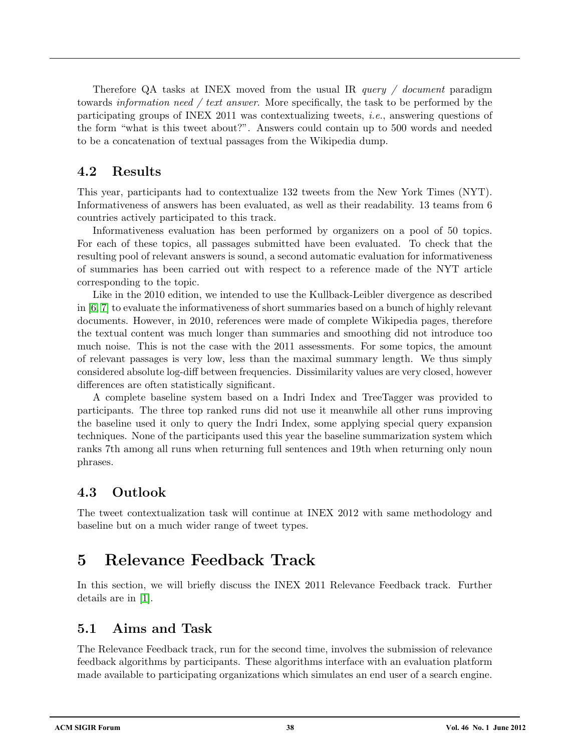Therefore QA tasks at INEX moved from the usual IR *query / document* paradigm towards *information need / text answer*. More specifically, the task to be performed by the participating groups of INEX 2011 was contextualizing tweets, i.e., answering questions of the form "what is this tweet about?". Answers could contain up to 500 words and needed to be a concatenation of textual passages from the Wikipedia dump.

#### 4.2 Results

This year, participants had to contextualize 132 tweets from the New York Times (NYT). Informativeness of answers has been evaluated, as well as their readability. 13 teams from 6 countries actively participated to this track.

Informativeness evaluation has been performed by organizers on a pool of 50 topics. For each of these topics, all passages submitted have been evaluated. To check that the resulting pool of relevant answers is sound, a second automatic evaluation for informativeness of summaries has been carried out with respect to a reference made of the NYT article corresponding to the topic.

Like in the 2010 edition, we intended to use the Kullback-Leibler divergence as described in [\[6,](#page-9-4) [7\]](#page-9-5) to evaluate the informativeness of short summaries based on a bunch of highly relevant documents. However, in 2010, references were made of complete Wikipedia pages, therefore the textual content was much longer than summaries and smoothing did not introduce too much noise. This is not the case with the 2011 assessments. For some topics, the amount of relevant passages is very low, less than the maximal summary length. We thus simply considered absolute log-diff between frequencies. Dissimilarity values are very closed, however differences are often statistically significant.

A complete baseline system based on a Indri Index and TreeTagger was provided to participants. The three top ranked runs did not use it meanwhile all other runs improving the baseline used it only to query the Indri Index, some applying special query expansion techniques. None of the participants used this year the baseline summarization system which ranks 7th among all runs when returning full sentences and 19th when returning only noun phrases.

### 4.3 Outlook

The tweet contextualization task will continue at INEX 2012 with same methodology and baseline but on a much wider range of tweet types.

# <span id="page-5-0"></span>5 Relevance Feedback Track

In this section, we will briefly discuss the INEX 2011 Relevance Feedback track. Further details are in [\[1\]](#page-8-1).

#### 5.1 Aims and Task

The Relevance Feedback track, run for the second time, involves the submission of relevance feedback algorithms by participants. These algorithms interface with an evaluation platform made available to participating organizations which simulates an end user of a search engine.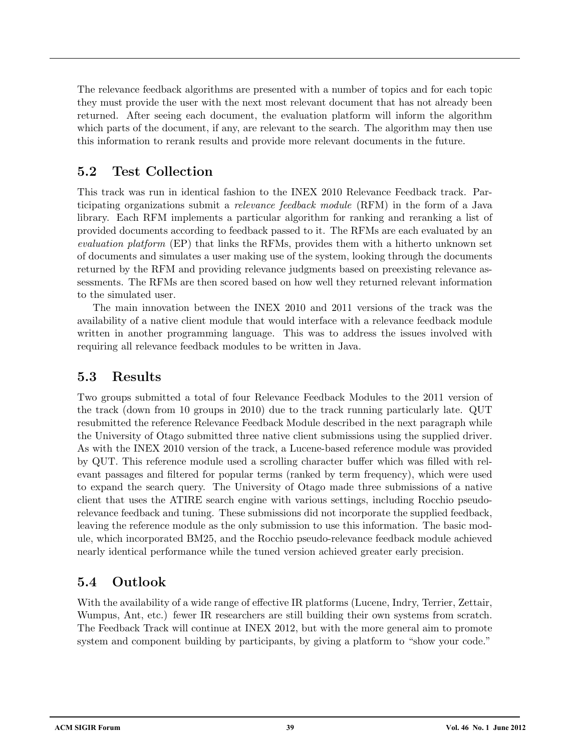The relevance feedback algorithms are presented with a number of topics and for each topic they must provide the user with the next most relevant document that has not already been returned. After seeing each document, the evaluation platform will inform the algorithm which parts of the document, if any, are relevant to the search. The algorithm may then use this information to rerank results and provide more relevant documents in the future.

#### 5.2 Test Collection

This track was run in identical fashion to the INEX 2010 Relevance Feedback track. Participating organizations submit a relevance feedback module (RFM) in the form of a Java library. Each RFM implements a particular algorithm for ranking and reranking a list of provided documents according to feedback passed to it. The RFMs are each evaluated by an evaluation platform (EP) that links the RFMs, provides them with a hitherto unknown set of documents and simulates a user making use of the system, looking through the documents returned by the RFM and providing relevance judgments based on preexisting relevance assessments. The RFMs are then scored based on how well they returned relevant information to the simulated user.

The main innovation between the INEX 2010 and 2011 versions of the track was the availability of a native client module that would interface with a relevance feedback module written in another programming language. This was to address the issues involved with requiring all relevance feedback modules to be written in Java.

#### 5.3 Results

Two groups submitted a total of four Relevance Feedback Modules to the 2011 version of the track (down from 10 groups in 2010) due to the track running particularly late. QUT resubmitted the reference Relevance Feedback Module described in the next paragraph while the University of Otago submitted three native client submissions using the supplied driver. As with the INEX 2010 version of the track, a Lucene-based reference module was provided by QUT. This reference module used a scrolling character buffer which was filled with relevant passages and filtered for popular terms (ranked by term frequency), which were used to expand the search query. The University of Otago made three submissions of a native client that uses the ATIRE search engine with various settings, including Rocchio pseudorelevance feedback and tuning. These submissions did not incorporate the supplied feedback, leaving the reference module as the only submission to use this information. The basic module, which incorporated BM25, and the Rocchio pseudo-relevance feedback module achieved nearly identical performance while the tuned version achieved greater early precision.

### 5.4 Outlook

With the availability of a wide range of effective IR platforms (Lucene, Indry, Terrier, Zettair, Wumpus, Ant, etc.) fewer IR researchers are still building their own systems from scratch. The Feedback Track will continue at INEX 2012, but with the more general aim to promote system and component building by participants, by giving a platform to "show your code."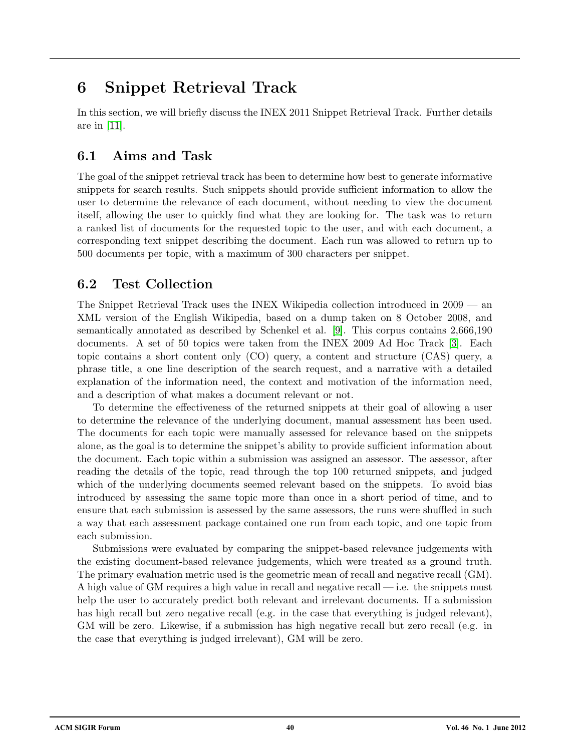# <span id="page-7-0"></span>6 Snippet Retrieval Track

In this section, we will briefly discuss the INEX 2011 Snippet Retrieval Track. Further details are in [\[11\]](#page-9-6).

### 6.1 Aims and Task

The goal of the snippet retrieval track has been to determine how best to generate informative snippets for search results. Such snippets should provide sufficient information to allow the user to determine the relevance of each document, without needing to view the document itself, allowing the user to quickly find what they are looking for. The task was to return a ranked list of documents for the requested topic to the user, and with each document, a corresponding text snippet describing the document. Each run was allowed to return up to 500 documents per topic, with a maximum of 300 characters per snippet.

### 6.2 Test Collection

The Snippet Retrieval Track uses the INEX Wikipedia collection introduced in 2009 — an XML version of the English Wikipedia, based on a dump taken on 8 October 2008, and semantically annotated as described by Schenkel et al. [\[9\]](#page-9-7). This corpus contains 2,666,190 documents. A set of 50 topics were taken from the INEX 2009 Ad Hoc Track [\[3\]](#page-8-2). Each topic contains a short content only (CO) query, a content and structure (CAS) query, a phrase title, a one line description of the search request, and a narrative with a detailed explanation of the information need, the context and motivation of the information need, and a description of what makes a document relevant or not.

To determine the effectiveness of the returned snippets at their goal of allowing a user to determine the relevance of the underlying document, manual assessment has been used. The documents for each topic were manually assessed for relevance based on the snippets alone, as the goal is to determine the snippet's ability to provide sufficient information about the document. Each topic within a submission was assigned an assessor. The assessor, after reading the details of the topic, read through the top 100 returned snippets, and judged which of the underlying documents seemed relevant based on the snippets. To avoid bias introduced by assessing the same topic more than once in a short period of time, and to ensure that each submission is assessed by the same assessors, the runs were shuffled in such a way that each assessment package contained one run from each topic, and one topic from each submission.

Submissions were evaluated by comparing the snippet-based relevance judgements with the existing document-based relevance judgements, which were treated as a ground truth. The primary evaluation metric used is the geometric mean of recall and negative recall (GM). A high value of GM requires a high value in recall and negative recall — i.e. the snippets must help the user to accurately predict both relevant and irrelevant documents. If a submission has high recall but zero negative recall (e.g. in the case that everything is judged relevant), GM will be zero. Likewise, if a submission has high negative recall but zero recall (e.g. in the case that everything is judged irrelevant), GM will be zero.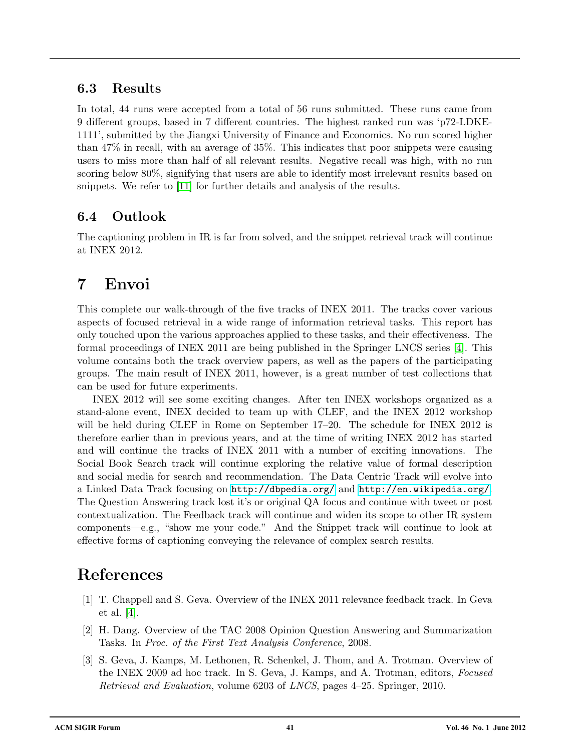#### 6.3 Results

In total, 44 runs were accepted from a total of 56 runs submitted. These runs came from 9 different groups, based in 7 different countries. The highest ranked run was 'p72-LDKE-1111', submitted by the Jiangxi University of Finance and Economics. No run scored higher than 47% in recall, with an average of 35%. This indicates that poor snippets were causing users to miss more than half of all relevant results. Negative recall was high, with no run scoring below 80%, signifying that users are able to identify most irrelevant results based on snippets. We refer to [\[11\]](#page-9-6) for further details and analysis of the results.

### 6.4 Outlook

The captioning problem in IR is far from solved, and the snippet retrieval track will continue at INEX 2012.

# 7 Envoi

This complete our walk-through of the five tracks of INEX 2011. The tracks cover various aspects of focused retrieval in a wide range of information retrieval tasks. This report has only touched upon the various approaches applied to these tasks, and their effectiveness. The formal proceedings of INEX 2011 are being published in the Springer LNCS series [\[4\]](#page-9-8). This volume contains both the track overview papers, as well as the papers of the participating groups. The main result of INEX 2011, however, is a great number of test collections that can be used for future experiments.

INEX 2012 will see some exciting changes. After ten INEX workshops organized as a stand-alone event, INEX decided to team up with CLEF, and the INEX 2012 workshop will be held during CLEF in Rome on September 17–20. The schedule for INEX 2012 is therefore earlier than in previous years, and at the time of writing INEX 2012 has started and will continue the tracks of INEX 2011 with a number of exciting innovations. The Social Book Search track will continue exploring the relative value of formal description and social media for search and recommendation. The Data Centric Track will evolve into a Linked Data Track focusing on <http://dbpedia.org/> and <http://en.wikipedia.org/>. The Question Answering track lost it's or original QA focus and continue with tweet or post contextualization. The Feedback track will continue and widen its scope to other IR system components—e.g., "show me your code." And the Snippet track will continue to look at effective forms of captioning conveying the relevance of complex search results.

# References

- <span id="page-8-1"></span>[1] T. Chappell and S. Geva. Overview of the INEX 2011 relevance feedback track. In Geva et al. [\[4\]](#page-9-8).
- <span id="page-8-0"></span>[2] H. Dang. Overview of the TAC 2008 Opinion Question Answering and Summarization Tasks. In Proc. of the First Text Analysis Conference, 2008.
- <span id="page-8-2"></span>[3] S. Geva, J. Kamps, M. Lethonen, R. Schenkel, J. Thom, and A. Trotman. Overview of the INEX 2009 ad hoc track. In S. Geva, J. Kamps, and A. Trotman, editors, Focused Retrieval and Evaluation, volume 6203 of LNCS, pages 4–25. Springer, 2010.